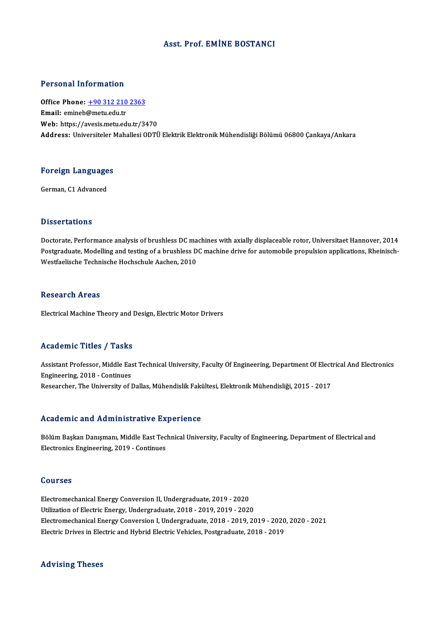## Asst. Prof. EMİNE BOSTANCI

## Personal Information

Personal Information<br>Office Phone: <u>+90 312 210 2363</u><br>Email: emineb@metuedu.tr office Phone: <u>+90 312 210</u><br>Email: emineb@metu.edu.tr<br>Web: https://avesis.metu.ed Email: emineb@metu.edu.tr<br>Web: https://a[vesis.metu.edu.tr/3](tel:+90 312 210 2363)470 Address: Universiteler Mahallesi ODTÜ Elektrik Elektronik Mühendisliği Bölümü 06800 Cankaya/Ankara

## Foreign Languages <mark>Foreign Language</mark><br>German, C1 Advanced

German, C1 Advanced<br>Dissertations

Doctorate, Performance analysis of brushless DC machines with axially displaceable rotor, Universitaet Hannover, 2014 Disbot cations<br>Doctorate, Performance analysis of brushless DC machines with axially displaceable rotor, Universitaet Hannover, 2014<br>Postgraduate, Modelling and testing of a brushless DC machine drive for automobile propul Doctorate, Performance analysis of brushless DC ma<br>Postgraduate, Modelling and testing of a brushless D<br>Westfaelische Technische Hochschule Aachen, 2010 Westfaelische Technische Hochschule Aachen, 2010<br>Research Areas

Electrical Machine Theory and Design, Electric Motor Drivers

## Academic Titles / Tasks

Academic Titles / Tasks<br>Assistant Professor, Middle East Technical University, Faculty Of Engineering, Department Of Electrical And Electronics<br>Engineering, 2018, Continues Engineering, 2018 - Continues<br>Researcher, The University of Dallas, Mühendislik Fakültesi, Elektronik Mühendisliği, 2015 - 2017 Assistant Professor, Middle East Technical University, Faculty Of Engineering, Department Of Elect<br>Engineering, 2018 - Continues<br>Researcher, The University of Dallas, Mühendislik Fakültesi, Elektronik Mühendisliği, 2015 -

### Academic and Administrative Experience

Academic and Administrative Experience<br>Bölüm Başkan Danışmanı, Middle East Technical University, Faculty of Engineering, Department of Electrical and<br>Electronics Engineering, 2019, Continues Electronics and Tramminotratry of the<br>Bölüm Başkan Danışmanı, Middle East Tec<br>Electronics Engineering, 2019 - Continues Electronics Engineering, 2019 - Continues<br>Courses

Electromechanical Energy Conversion II, Undergraduate, 2019 - 2020 Utilization of Electric Energy, Undergraduate, 2018 - 2019, 2019 - 2020 Electromechanical Energy Conversion II, Undergraduate, 2019 - 2020<br>Utilization of Electric Energy, Undergraduate, 2018 - 2019, 2019 - 2020<br>Electromechanical Energy Conversion I, Undergraduate, 2018 - 2019, 2019 - 2020, 202 Utilization of Electric Energy, Undergraduate, 2018 - 2019, 2019 - 2020<br>Electromechanical Energy Conversion I, Undergraduate, 2018 - 2019, 2019 - 2020<br>Electric Drives in Electric and Hybrid Electric Vehicles, Postgraduate, Electric Drives in Electric and Hybrid Electric Vehicles, Postgraduate, 2018 - 2019<br>Advising Theses